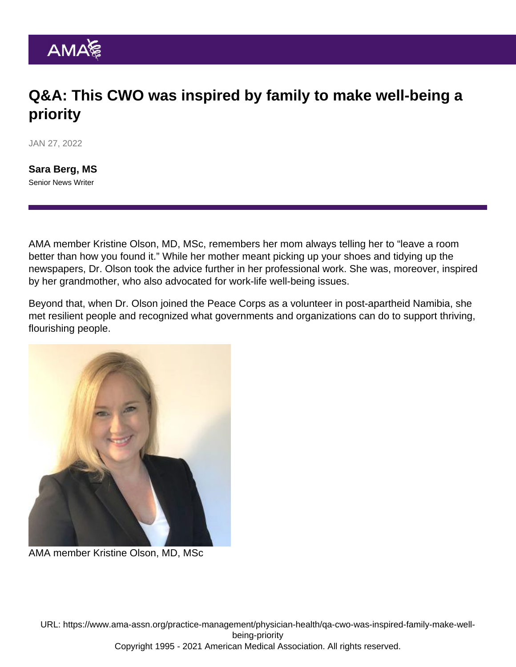## Q&A: This CWO was inspired by family to make well-being a priority

JAN 27, 2022

[Sara Berg, MS](https://www.ama-assn.org/news-leadership-viewpoints/authors-news-leadership-viewpoints/sara-berg-ms) Senior News Writer

AMA member Kristine Olson, MD, MSc, remembers her mom always telling her to "leave a room better than how you found it." While her mother meant picking up your shoes and tidying up the newspapers, Dr. Olson took the advice further in her professional work. She was, moreover, inspired by her grandmother, who also advocated for work-life well-being issues.

Beyond that, when Dr. Olson joined the Peace Corps as a volunteer in post-apartheid Namibia, she met resilient people and recognized what governments and organizations can do to support thriving, flourishing people.

AMA member Kristine Olson, MD, MSc

URL: [https://www.ama-assn.org/practice-management/physician-health/qa-cwo-was-inspired-family-make-well](https://www.ama-assn.org/practice-management/physician-health/qa-cwo-was-inspired-family-make-well-being-priority)[being-priority](https://www.ama-assn.org/practice-management/physician-health/qa-cwo-was-inspired-family-make-well-being-priority) Copyright 1995 - 2021 American Medical Association. All rights reserved.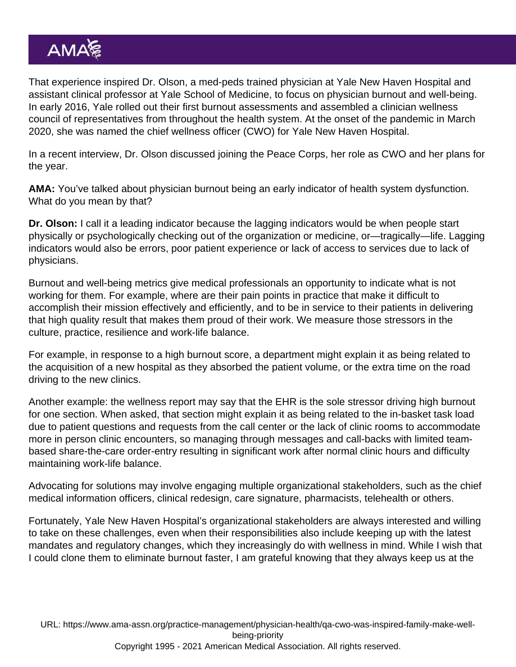That experience inspired Dr. Olson, a med-peds trained physician at Yale New Haven Hospital and assistant clinical professor at Yale School of Medicine, to focus on physician burnout and well-being. In early 2016, Yale rolled out their first burnout assessments and assembled a clinician wellness council of representatives from throughout the health system. At the onset of the pandemic in March 2020, she was named the [chief wellness officer](https://www.ama-assn.org/practice-management/physician-health/what-chief-wellness-officer) (CWO) for Yale New Haven Hospital.

In a recent interview, Dr. Olson discussed joining the Peace Corps, her role as CWO and her plans for the year.

AMA: You've talked about [physician burnout](https://www.ama-assn.org/topics/physician-burnout) being an early indicator of health system dysfunction. What do you mean by that?

Dr. Olson: I call it a leading indicator because the lagging indicators would be when people start physically or psychologically checking out of the organization or medicine, or—tragically—life. Lagging indicators would also be errors, poor patient experience or lack of access to services due to lack of physicians.

Burnout and well-being metrics give medical professionals an opportunity to indicate what is not working for them. For example, where are their pain points in practice that make it difficult to accomplish their mission effectively and efficiently, and to be in service to their patients in delivering that high quality result that makes them proud of their work. We measure those stressors in the culture, practice, resilience and work-life balance.

For example, in response to a high burnout score, a department might explain it as being related to the acquisition of a new hospital as they absorbed the patient volume, or the extra time on the road driving to the new clinics.

Another example: the wellness report may say that the EHR is the sole stressor driving high burnout for one section. When asked, that section might explain it as being related to the in-basket task load due to patient questions and requests from the call center or the lack of clinic rooms to accommodate more in person clinic encounters, so managing through messages and call-backs with limited teambased share-the-care order-entry resulting in significant work after normal clinic hours and difficulty maintaining work-life balance.

Advocating for solutions may involve engaging multiple organizational stakeholders, such as the chief medical information officers, clinical redesign, care signature, pharmacists, telehealth or others.

Fortunately, Yale New Haven Hospital's organizational stakeholders are always interested and willing to take on these challenges, even when their responsibilities also include keeping up with the latest mandates and regulatory changes, which they increasingly do with wellness in mind. While I wish that I could clone them to eliminate burnout faster, I am grateful knowing that they always keep us at the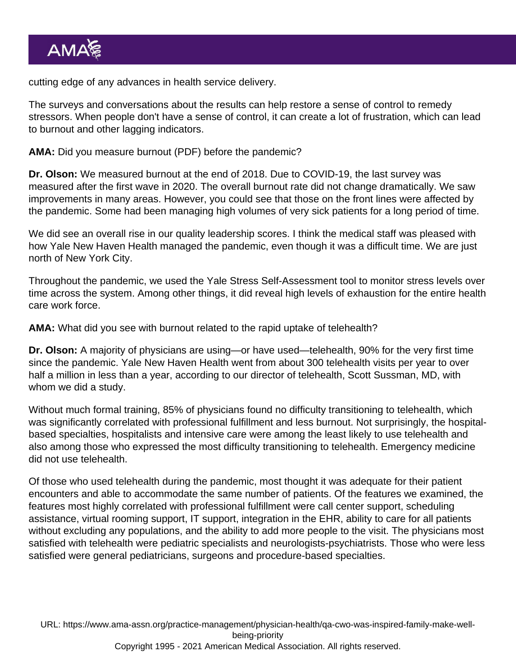cutting edge of any advances in health service delivery.

The surveys and conversations about the results can help restore a sense of control to remedy stressors. When people don't have a sense of control, it can create a lot of frustration, which can lead to burnout and other lagging indicators.

AMA: Did you [measure burnout](https://www.ama-assn.org/system/files/2020-09/practice-transformation-toolkit.pdf) (PDF) before the pandemic?

Dr. Olson: We measured burnout at the end of 2018. Due to COVID-19, the last survey was measured after the first wave in 2020. The overall burnout rate did not change dramatically. We saw improvements in many areas. However, you could see that those on the front lines were affected by the pandemic. Some had been managing high volumes of very sick patients for a long period of time.

We did see an overall rise in our quality leadership scores. I think the medical staff was pleased with how Yale New Haven Health managed the pandemic, even though it was a difficult time. We are just north of New York City.

Throughout the pandemic, we used the Yale Stress Self-Assessment tool to monitor stress levels over time across the system. Among other things, it did reveal high levels of exhaustion for the entire health care work force.

AMA: What did you see with burnout related to the rapid uptake of telehealth?

Dr. Olson: A majority of physicians are using—or have used—telehealth, 90% for the very first time since the pandemic. Yale New Haven Health went from about 300 telehealth visits per year to over half a million in less than a year, according to our director of telehealth, Scott Sussman, MD, with whom we did a study.

Without much formal training, 85% of physicians found no difficulty transitioning to telehealth, which was significantly correlated with professional fulfillment and less burnout. Not surprisingly, the hospitalbased specialties, hospitalists and intensive care were among the least likely to use telehealth and also among those who expressed the most difficulty transitioning to telehealth. Emergency medicine did not use telehealth.

Of those who used telehealth during the pandemic, most thought it was adequate for their patient encounters and able to accommodate the same number of patients. Of the features we examined, the features most highly correlated with professional fulfillment were call center support, scheduling assistance, virtual rooming support, IT support, integration in the EHR, ability to care for all patients without excluding any populations, and the ability to add more people to the visit. The physicians most satisfied with telehealth were pediatric specialists and neurologists-psychiatrists. Those who were less satisfied were general pediatricians, surgeons and procedure-based specialties.

URL: [https://www.ama-assn.org/practice-management/physician-health/qa-cwo-was-inspired-family-make-well](https://www.ama-assn.org/practice-management/physician-health/qa-cwo-was-inspired-family-make-well-being-priority)[being-priority](https://www.ama-assn.org/practice-management/physician-health/qa-cwo-was-inspired-family-make-well-being-priority) Copyright 1995 - 2021 American Medical Association. All rights reserved.